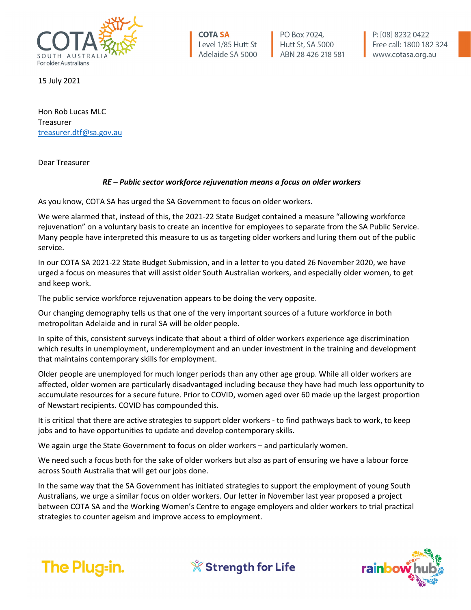

15 July 2021

Hon Rob Lucas MLC Treasurer [treasurer.dtf@sa.gov.au](mailto:treasurer.dtf@sa.gov.au)

Dear Treasurer

## *RE – Public sector workforce rejuvenation means a focus on older workers*

**COTA SA** 

Level 1/85 Hutt St

Adelaide SA 5000

PO Box 7024,

Hutt St, SA 5000

ABN 28 426 218 581

As you know, COTA SA has urged the SA Government to focus on older workers.

We were alarmed that, instead of this, the 2021-22 State Budget contained a measure "allowing workforce rejuvenation" on a voluntary basis to create an incentive for employees to separate from the SA Public Service. Many people have interpreted this measure to us as targeting older workers and luring them out of the public service.

In our COTA SA 2021-22 State Budget Submission, and in a letter to you dated 26 November 2020, we have urged a focus on measures that will assist older South Australian workers, and especially older women, to get and keep work.

The public service workforce rejuvenation appears to be doing the very opposite.

Our changing demography tells us that one of the very important sources of a future workforce in both metropolitan Adelaide and in rural SA will be older people.

In spite of this, consistent surveys indicate that about a third of older workers experience age discrimination which results in unemployment, underemployment and an under investment in the training and development that maintains contemporary skills for employment.

Older people are unemployed for much longer periods than any other age group. While all older workers are affected, older women are particularly disadvantaged including because they have had much less opportunity to accumulate resources for a secure future. Prior to COVID, women aged over 60 made up the largest proportion of Newstart recipients. COVID has compounded this.

It is critical that there are active strategies to support older workers - to find pathways back to work, to keep jobs and to have opportunities to update and develop contemporary skills.

We again urge the State Government to focus on older workers – and particularly women.

We need such a focus both for the sake of older workers but also as part of ensuring we have a labour force across South Australia that will get our jobs done.

In the same way that the SA Government has initiated strategies to support the employment of young South Australians, we urge a similar focus on older workers. Our letter in November last year proposed a project between COTA SA and the Working Women's Centre to engage employers and older workers to trial practical strategies to counter ageism and improve access to employment.